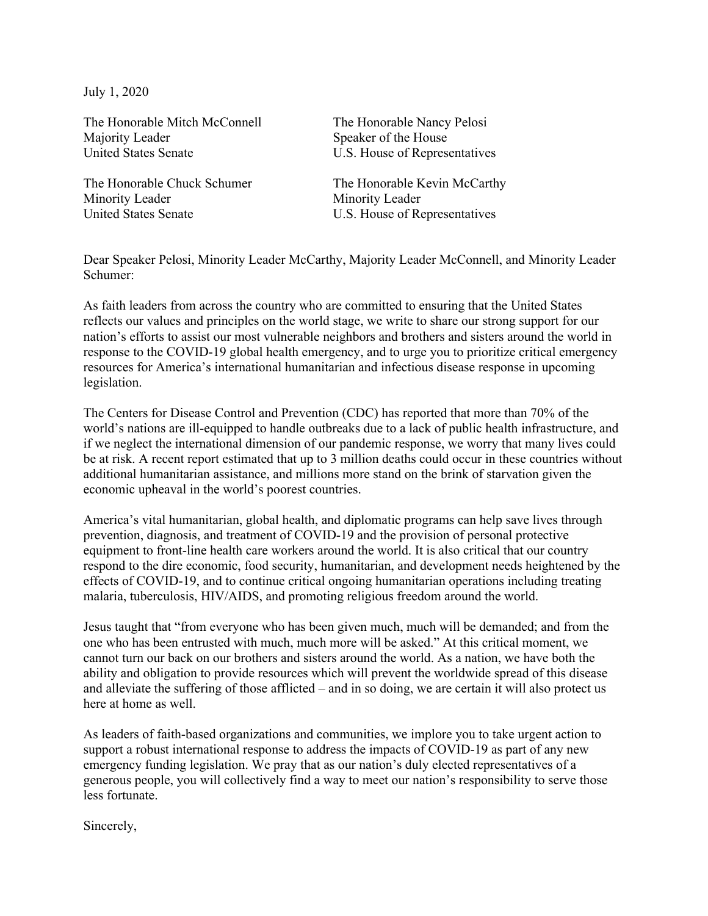July 1, 2020

The Honorable Mitch McConnell The Honorable Nancy Pelosi Majority Leader Speaker of the House United States Senate **U.S.** House of Representatives

Minority Leader Minority Leader United States Senate **U.S.** House of Representatives

The Honorable Chuck Schumer The Honorable Kevin McCarthy

Dear Speaker Pelosi, Minority Leader McCarthy, Majority Leader McConnell, and Minority Leader Schumer:

As faith leaders from across the country who are committed to ensuring that the United States reflects our values and principles on the world stage, we write to share our strong support for our nation's efforts to assist our most vulnerable neighbors and brothers and sisters around the world in response to the COVID-19 global health emergency, and to urge you to prioritize critical emergency resources for America's international humanitarian and infectious disease response in upcoming legislation.

The Centers for Disease Control and Prevention (CDC) has reported that more than 70% of the world's nations are ill-equipped to handle outbreaks due to a lack of public health infrastructure, and if we neglect the international dimension of our pandemic response, we worry that many lives could be at risk. A recent report estimated that up to 3 million deaths could occur in these countries without additional humanitarian assistance, and millions more stand on the brink of starvation given the economic upheaval in the world's poorest countries.

America's vital humanitarian, global health, and diplomatic programs can help save lives through prevention, diagnosis, and treatment of COVID-19 and the provision of personal protective equipment to front-line health care workers around the world. It is also critical that our country respond to the dire economic, food security, humanitarian, and development needs heightened by the effects of COVID-19, and to continue critical ongoing humanitarian operations including treating malaria, tuberculosis, HIV/AIDS, and promoting religious freedom around the world.

Jesus taught that "from everyone who has been given much, much will be demanded; and from the one who has been entrusted with much, much more will be asked." At this critical moment, we cannot turn our back on our brothers and sisters around the world. As a nation, we have both the ability and obligation to provide resources which will prevent the worldwide spread of this disease and alleviate the suffering of those afflicted – and in so doing, we are certain it will also protect us here at home as well.

As leaders of faith-based organizations and communities, we implore you to take urgent action to support a robust international response to address the impacts of COVID-19 as part of any new emergency funding legislation. We pray that as our nation's duly elected representatives of a generous people, you will collectively find a way to meet our nation's responsibility to serve those less fortunate.

Sincerely,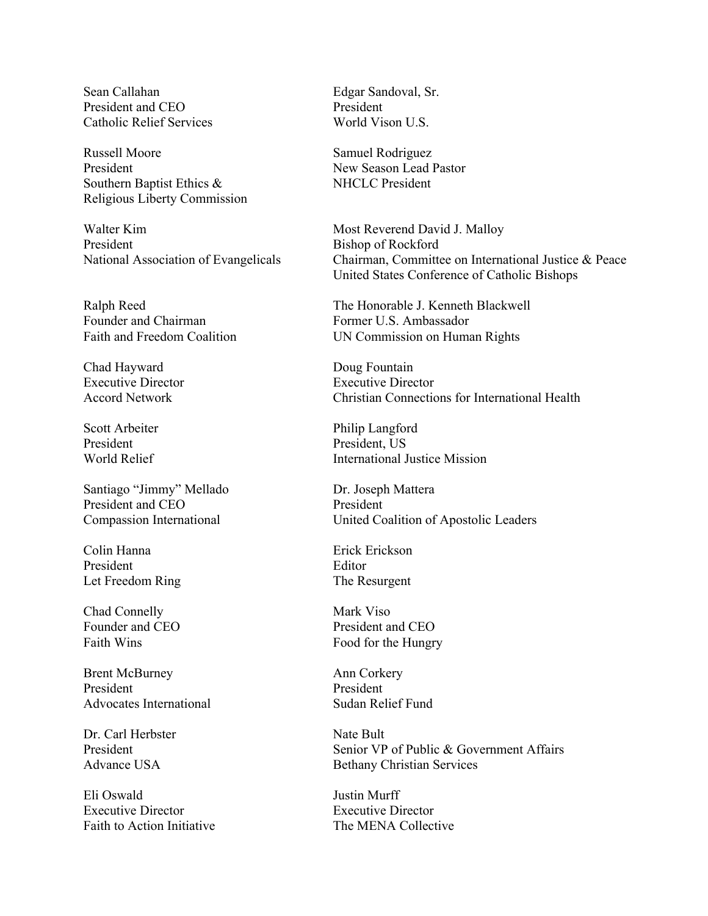Sean Callahan **Edgar Sandoval**, Sr. President and CEO President Catholic Relief Services World Vison U.S.

Russell Moore Samuel Rodriguez President New Season Lead Pastor Southern Baptist Ethics & NHCLC President Religious Liberty Commission

Walter Kim Most Reverend David J. Malloy President Bishop of Rockford

Founder and Chairman Former U.S. Ambassador

Chad Hayward Doug Fountain

President President, US

Santiago "Jimmy" Mellado Dr. Joseph Mattera President and CEO President

Colin Hanna Erick Erickson President Editor Let Freedom Ring The Resurgent

Chad Connelly Mark Viso

Brent McBurney Ann Corkery President President Advocates International Sudan Relief Fund

Dr. Carl Herbster Nate Bult

Eli Oswald Justin Murff Executive Director Executive Director Faith to Action Initiative The MENA Collective

National Association of Evangelicals Chairman, Committee on International Justice & Peace United States Conference of Catholic Bishops

Ralph Reed The Honorable J. Kenneth Blackwell Faith and Freedom Coalition UN Commission on Human Rights

Executive Director Executive Director Accord Network Christian Connections for International Health

Scott Arbeiter Philip Langford World Relief **International Justice Mission** 

Compassion International United Coalition of Apostolic Leaders

Founder and CEO President and CEO Faith Wins Food for the Hungry

President Senior VP of Public & Government Affairs Advance USA Bethany Christian Services